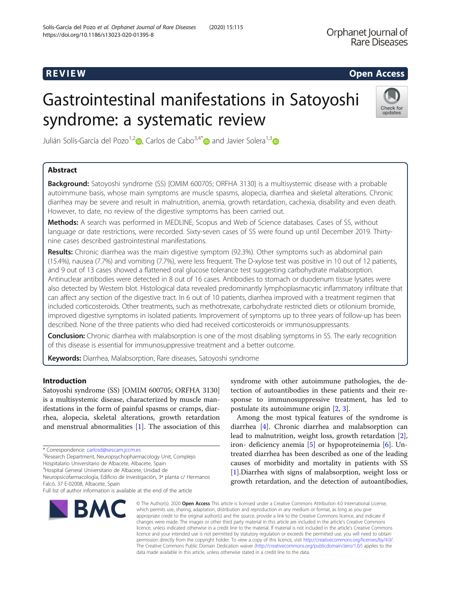# R EVI EW Open Access

# Gastrointestinal manifestations in Satoyoshi syndrome: a systematic review



Julián Solís-García del Pozo<sup>1[,](https://orcid.org/0000-0002-8361-2090)2</sup> <sub>(b</sub>, Carlos de Cabo<sup>3,4[\\*](https://orcid.org/0000-0002-2144-0107)</sup> (b) and Javier Solera<sup>1,3</sup> (b)

# Abstract

Background: Satoyoshi syndrome (SS) [OMIM 600705; ORFHA 3130] is a multisystemic disease with a probable autoimmune basis, whose main symptoms are muscle spasms, alopecia, diarrhea and skeletal alterations. Chronic diarrhea may be severe and result in malnutrition, anemia, growth retardation, cachexia, disability and even death. However, to date, no review of the digestive symptoms has been carried out.

Methods: A search was performed in MEDLINE, Scopus and Web of Science databases. Cases of SS, without language or date restrictions, were recorded. Sixty-seven cases of SS were found up until December 2019. Thirtynine cases described gastrointestinal manifestations.

Results: Chronic diarrhea was the main digestive symptom (92.3%). Other symptoms such as abdominal pain (15.4%), nausea (7.7%) and vomiting (7.7%), were less frequent. The D-xylose test was positive in 10 out of 12 patients, and 9 out of 13 cases showed a flattened oral glucose tolerance test suggesting carbohydrate malabsorption. Antinuclear antibodies were detected in 8 out of 16 cases. Antibodies to stomach or duodenum tissue lysates were also detected by Western blot. Histological data revealed predominantly lymphoplasmacytic inflammatory infiltrate that can affect any section of the digestive tract. In 6 out of 10 patients, diarrhea improved with a treatment regimen that included corticosteroids. Other treatments, such as methotrexate, carbohydrate restricted diets or otilonium bromide, improved digestive symptoms in isolated patients. Improvement of symptoms up to three years of follow-up has been described. None of the three patients who died had received corticosteroids or immunosuppressants.

**Conclusion:** Chronic diarrhea with malabsorption is one of the most disabling symptoms in SS. The early recognition of this disease is essential for immunosuppressive treatment and a better outcome.

Keywords: Diarrhea, Malabsorption, Rare diseases, Satoyoshi syndrome

# Introduction

Satoyoshi syndrome (SS) [OMIM 600705; ORFHA 3130] is a multisystemic disease, characterized by muscle manifestations in the form of painful spasms or cramps, diarrhea, alopecia, skeletal alterations, growth retardation and menstrual abnormalities [\[1\]](#page-12-0). The association of this

<sup>3</sup>Research Department, Neuropsychopharmacology Unit, Complejo

4 Hospital General Universitario de Albacete, Unidad de

Full list of author information is available at the end of the article



syndrome with other autoimmune pathologies, the detection of autoantibodies in these patients and their response to immunosuppressive treatment, has led to postulate its autoimmune origin [\[2](#page-12-0), [3](#page-12-0)].

Among the most typical features of the syndrome is diarrhea [[4\]](#page-12-0). Chronic diarrhea and malabsorption can lead to malnutrition, weight loss, growth retardation [\[2](#page-12-0)], iron- deficiency anemia [[5\]](#page-12-0) or hypoproteinemia [[6\]](#page-12-0). Untreated diarrhea has been described as one of the leading causes of morbidity and mortality in patients with SS [[1\]](#page-12-0).Diarrhea with signs of malabsorption, weight loss or growth retardation, and the detection of autoantibodies,

© The Author(s), 2020 **Open Access** This article is licensed under a Creative Commons Attribution 4.0 International License, which permits use, sharing, adaptation, distribution and reproduction in any medium or format, as long as you give appropriate credit to the original author(s) and the source, provide a link to the Creative Commons licence, and indicate if changes were made. The images or other third party material in this article are included in the article's Creative Commons licence, unless indicated otherwise in a credit line to the material. If material is not included in the article's Creative Commons licence and your intended use is not permitted by statutory regulation or exceeds the permitted use, you will need to obtain permission directly from the copyright holder. To view a copy of this licence, visit [http://creativecommons.org/licenses/by/4.0/.](http://creativecommons.org/licenses/by/4.0/) The Creative Commons Public Domain Dedication waiver [\(http://creativecommons.org/publicdomain/zero/1.0/](http://creativecommons.org/publicdomain/zero/1.0/)) applies to the data made available in this article, unless otherwise stated in a credit line to the data.

<sup>\*</sup> Correspondence: [carlosd@sescam.jccm.es](mailto:carlosd@sescam.jccm.es) <sup>3</sup>

Hospitalario Universitario de Albacete, Albacete, Spain

Neuropsicofarmacología, Edificio de Investigación, 3ª planta c/ Hermanos Falcó, 37 E-02008, Albacete, Spain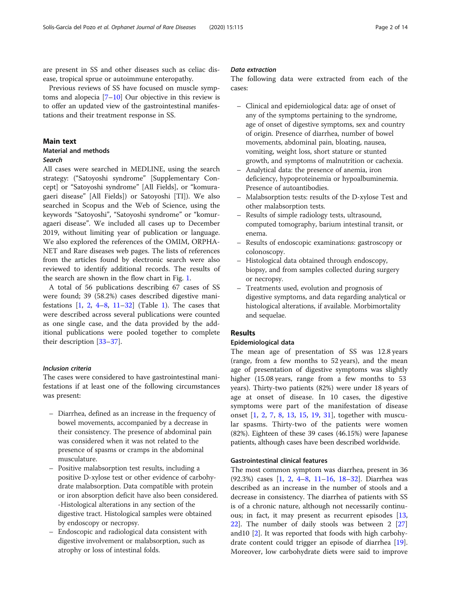are present in SS and other diseases such as celiac disease, tropical sprue or autoimmune enteropathy.

Previous reviews of SS have focused on muscle symptoms and alopecia  $[7-10]$  $[7-10]$  $[7-10]$  Our objective in this review is to offer an updated view of the gastrointestinal manifestations and their treatment response in SS.

# Main text

# Material and methods

# Search

All cases were searched in MEDLINE, using the search strategy: ("Satoyoshi syndrome" [Supplementary Concept] or "Satoyoshi syndrome" [All Fields], or "komuragaeri disease" [All Fields]) or Satoyoshi [TI]). We also searched in Scopus and the Web of Science, using the keywords "Satoyoshi", "Satoyoshi syndrome" or "komuragaeri disease". We included all cases up to December 2019, without limiting year of publication or language. We also explored the references of the OMIM, ORPHA-NET and Rare diseases web pages. The lists of references from the articles found by electronic search were also reviewed to identify additional records. The results of the search are shown in the flow chart in Fig. [1.](#page-2-0)

A total of 56 publications describing 67 cases of SS were found; 39 (58.2%) cases described digestive manifestations  $[1, 2, 4-8, 11-32]$  $[1, 2, 4-8, 11-32]$  $[1, 2, 4-8, 11-32]$  $[1, 2, 4-8, 11-32]$  $[1, 2, 4-8, 11-32]$  $[1, 2, 4-8, 11-32]$  $[1, 2, 4-8, 11-32]$  $[1, 2, 4-8, 11-32]$  $[1, 2, 4-8, 11-32]$  $[1, 2, 4-8, 11-32]$  $[1, 2, 4-8, 11-32]$  (Table [1](#page-3-0)). The cases that were described across several publications were counted as one single case, and the data provided by the additional publications were pooled together to complete their description [\[33](#page-12-0)–[37\]](#page-13-0).

# Inclusion criteria

The cases were considered to have gastrointestinal manifestations if at least one of the following circumstances was present:

- Diarrhea, defined as an increase in the frequency of bowel movements, accompanied by a decrease in their consistency. The presence of abdominal pain was considered when it was not related to the presence of spasms or cramps in the abdominal musculature.
- Positive malabsorption test results, including a positive D-xylose test or other evidence of carbohydrate malabsorption. Data compatible with protein or iron absorption deficit have also been considered. -Histological alterations in any section of the digestive tract. Histological samples were obtained by endoscopy or necropsy.
- Endoscopic and radiological data consistent with digestive involvement or malabsorption, such as atrophy or loss of intestinal folds.

# Data extraction

The following data were extracted from each of the cases:

- Clinical and epidemiological data: age of onset of any of the symptoms pertaining to the syndrome, age of onset of digestive symptoms, sex and country of origin. Presence of diarrhea, number of bowel movements, abdominal pain, bloating, nausea, vomiting, weight loss, short stature or stunted growth, and symptoms of malnutrition or cachexia.
- Analytical data: the presence of anemia, iron deficiency, hypoproteinemia or hypoalbuminemia. Presence of autoantibodies.
- Malabsorption tests: results of the D-xylose Test and other malabsorption tests.
- Results of simple radiology tests, ultrasound, computed tomography, barium intestinal transit, or enema.
- Results of endoscopic examinations: gastroscopy or colonoscopy.
- Histological data obtained through endoscopy, biopsy, and from samples collected during surgery or necropsy.
- Treatments used, evolution and prognosis of digestive symptoms, and data regarding analytical or histological alterations, if available. Morbimortality and sequelae.

# Results

# Epidemiological data

The mean age of presentation of SS was 12.8 years (range, from a few months to 52 years), and the mean age of presentation of digestive symptoms was slightly higher (15.08 years, range from a few months to 53 years). Thirty-two patients (82%) were under 18 years of age at onset of disease. In 10 cases, the digestive symptoms were part of the manifestation of disease onset [\[1](#page-12-0), [2](#page-12-0), [7,](#page-12-0) [8,](#page-12-0) [13,](#page-12-0) [15](#page-12-0), [19](#page-12-0), [31](#page-12-0)], together with muscular spasms. Thirty-two of the patients were women (82%). Eighteen of these 39 cases (46.15%) were Japanese patients, although cases have been described worldwide.

# Gastrointestinal clinical features

The most common symptom was diarrhea, present in 36 (92.3%) cases [\[1](#page-12-0), [2](#page-12-0), [4](#page-12-0)–[8,](#page-12-0) [11](#page-12-0)–[16](#page-12-0), [18](#page-12-0)–[32\]](#page-12-0). Diarrhea was described as an increase in the number of stools and a decrease in consistency. The diarrhea of patients with SS is of a chronic nature, although not necessarily continuous; in fact, it may present as recurrent episodes [[13](#page-12-0), [22\]](#page-12-0). The number of daily stools was between 2 [[27](#page-12-0)] and10 [[2\]](#page-12-0). It was reported that foods with high carbohydrate content could trigger an episode of diarrhea [\[19](#page-12-0)]. Moreover, low carbohydrate diets were said to improve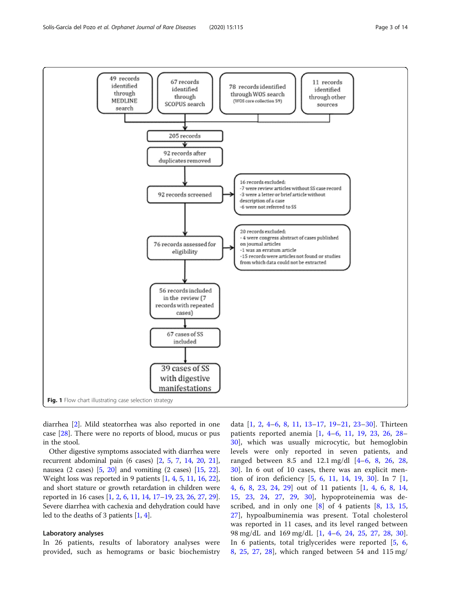<span id="page-2-0"></span>

diarrhea [[2\]](#page-12-0). Mild steatorrhea was also reported in one case [\[28\]](#page-12-0). There were no reports of blood, mucus or pus in the stool.

Other digestive symptoms associated with diarrhea were recurrent abdominal pain (6 cases) [[2,](#page-12-0) [5,](#page-12-0) [7](#page-12-0), [14](#page-12-0), [20](#page-12-0), [21](#page-12-0)], nausea (2 cases) [[5](#page-12-0), [20](#page-12-0)] and vomiting (2 cases) [[15](#page-12-0), [22](#page-12-0)]. Weight loss was reported in 9 patients [\[1](#page-12-0), [4,](#page-12-0) [5,](#page-12-0) [11](#page-12-0), [16,](#page-12-0) [22](#page-12-0)], and short stature or growth retardation in children were reported in 16 cases [\[1](#page-12-0), [2,](#page-12-0) [6,](#page-12-0) [11](#page-12-0), [14,](#page-12-0) [17](#page-12-0)–[19,](#page-12-0) [23,](#page-12-0) [26](#page-12-0), [27,](#page-12-0) [29](#page-12-0)]. Severe diarrhea with cachexia and dehydration could have led to the deaths of 3 patients [[1](#page-12-0), [4\]](#page-12-0).

# Laboratory analyses

In 26 patients, results of laboratory analyses were provided, such as hemograms or basic biochemistry

data [[1,](#page-12-0) [2,](#page-12-0) [4](#page-12-0)–[6](#page-12-0), [8,](#page-12-0) [11,](#page-12-0) [13](#page-12-0)–[17](#page-12-0), [19](#page-12-0)–[21,](#page-12-0) [23](#page-12-0)–[30\]](#page-12-0). Thirteen patients reported anemia [\[1](#page-12-0), [4](#page-12-0)–[6](#page-12-0), [11](#page-12-0), [19,](#page-12-0) [23,](#page-12-0) [26,](#page-12-0) [28](#page-12-0)– [30\]](#page-12-0), which was usually microcytic, but hemoglobin levels were only reported in seven patients, and ranged between [8](#page-12-0).5 and 12.1 mg/dl  $[4-6, 8, 26, 28,$  $[4-6, 8, 26, 28,$  $[4-6, 8, 26, 28,$  $[4-6, 8, 26, 28,$  $[4-6, 8, 26, 28,$  $[4-6, 8, 26, 28,$  $[4-6, 8, 26, 28,$  $[4-6, 8, 26, 28,$ [30\]](#page-12-0). In 6 out of 10 cases, there was an explicit mention of iron deficiency [\[5](#page-12-0), [6](#page-12-0), [11,](#page-12-0) [14,](#page-12-0) [19,](#page-12-0) [30\]](#page-12-0). In 7 [\[1](#page-12-0), [4,](#page-12-0) [6,](#page-12-0) [8,](#page-12-0) [23](#page-12-0), [24](#page-12-0), [29](#page-12-0)] out of 11 patients [[1,](#page-12-0) [4,](#page-12-0) [6,](#page-12-0) [8,](#page-12-0) [14](#page-12-0), [15,](#page-12-0) [23](#page-12-0), [24,](#page-12-0) [27](#page-12-0), [29,](#page-12-0) [30](#page-12-0)], hypoproteinemia was described, and in only one  $[8]$  $[8]$  of 4 patients  $[8, 13, 15,$  $[8, 13, 15,$  $[8, 13, 15,$  $[8, 13, 15,$  $[8, 13, 15,$  $[8, 13, 15,$ [27\]](#page-12-0), hypoalbuminemia was present. Total cholesterol was reported in 11 cases, and its level ranged between 98 mg/dL and 169 mg/dL [\[1](#page-12-0), [4](#page-12-0)–[6](#page-12-0), [24,](#page-12-0) [25,](#page-12-0) [27,](#page-12-0) [28](#page-12-0), [30](#page-12-0)]. In 6 patients, total triglycerides were reported [[5,](#page-12-0) [6](#page-12-0), [8,](#page-12-0) [25](#page-12-0), [27](#page-12-0), [28\]](#page-12-0), which ranged between 54 and 115 mg/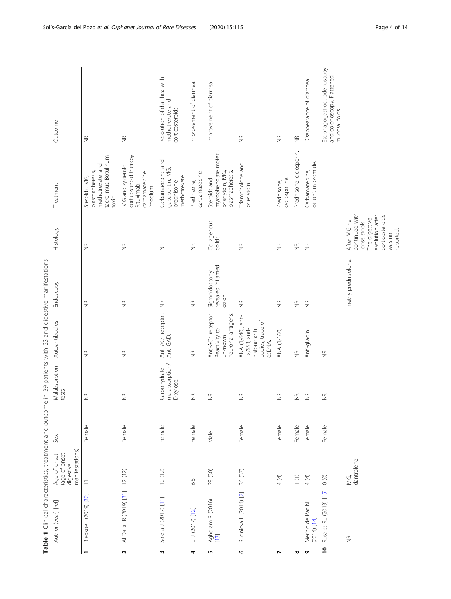<span id="page-3-0"></span>

|                          | Table 1 Clinical characteristics, treatment and outcome in 39 patients with SS and digestive manifestations |                                                               |        |                                             |                                                                                    |                                              |                                                                                                                                 |                                                                                               |                                                                            |
|--------------------------|-------------------------------------------------------------------------------------------------------------|---------------------------------------------------------------|--------|---------------------------------------------|------------------------------------------------------------------------------------|----------------------------------------------|---------------------------------------------------------------------------------------------------------------------------------|-----------------------------------------------------------------------------------------------|----------------------------------------------------------------------------|
|                          | Author (year) [ref]                                                                                         | manifestations)<br>(age of onset<br>digestive<br>Age of onset | Sex    | Malabsorption<br>tests                      | Autoantibodies                                                                     | Endoscopy                                    | Histology                                                                                                                       | Treatment                                                                                     | Outcome                                                                    |
| $\overline{\phantom{0}}$ | Bledsoe   (2019) [32]                                                                                       | $\equiv$                                                      | Female | $\widetilde{\Xi}$                           | $\widetilde{\Xi}$                                                                  | $\widetilde{\Xi}$                            | $\widetilde{\Xi}$                                                                                                               | tacrolimus. Botulinum<br>methotrexate, and<br>plasmapheresis,<br>Steroids, IVIG,<br>toxin.    | $\widetilde{\Xi}$                                                          |
| $\mathbf{\Omega}$        | Al Dallal R (2019) [31]                                                                                     | 12(12)                                                        | Female | $\widetilde{\Xi}$                           | $\widetilde{\Xi}$                                                                  | $\widetilde{\Xi}$                            | $\widetilde{\Xi}$                                                                                                               | corticosteroid therapy.<br><b>NG</b> and systemic<br>carbamazepine,<br>Rituximab,<br>imodium. | $\widetilde{\Xi}$                                                          |
| w                        | Solera J (2017) [11]                                                                                        | 10(12)                                                        | Female | malabsorption/<br>Carbohydrate<br>D-xylose. | Anti-ACh receptor.<br>Anti-GAD                                                     | $\widetilde{\Xi}$                            | $\widetilde{\Xi}$                                                                                                               | Carbamazepine and<br>gabapentin, IVIG,<br>methotrexate.<br>prednisone,                        | Resolution of diarrhea with<br>methotrexate and<br>corticosteroids.        |
| 4                        | Li J (2017) [12]                                                                                            | $\overline{6}$                                                | Female | $\widetilde{\Xi}$                           | $\widetilde{\Xi}$                                                                  | $\widetilde{\Xi}$                            | $\widetilde{\Xi}$                                                                                                               | carbamazepine.<br>Prednisone,                                                                 | Improvement of diarrhea.                                                   |
| m                        | Aghoram R (2016)<br>[13]                                                                                    | 28 (30)                                                       | Male   | $\widetilde{\Xi}$                           | Anti-ACh receptor.<br>neuronal antigens<br>Reactivity to<br>unknown                | revealed inflamed<br>Sigmoidoscopy<br>colon. | Collagenous<br>colitis.                                                                                                         | mycophenolate mofetil,<br>phenytoin, IVIG,<br>plasmapheresis.<br>Steroids and                 | Improvement of diarrhea.                                                   |
| o                        | Rudnicka L (2014) [7]                                                                                       | 36 (37)                                                       | Female | $\widetilde{\Xi}$                           | ANA (1/640), anti-<br>bodies, trace of<br>histone anti-<br>La/SSB, anti-<br>dsDNA. | $\widetilde{\Xi}$                            | $\widetilde{\Xi}$                                                                                                               | Triamcinolone and<br>phenytoin.                                                               | $\widetilde{\Xi}$                                                          |
| N                        |                                                                                                             | $4(4)$                                                        | Female | $\widetilde{\Xi}$                           | ANA (1/160)                                                                        | $\widetilde{\Xi}$                            | $\widetilde{\Xi}$                                                                                                               | cyclosporine.<br>Prednisone,                                                                  | $\widetilde{\Xi}$                                                          |
| $\infty$                 |                                                                                                             | $\left(1\right)$                                              | Female | $\widetilde{\Xi}$                           | $\frac{\alpha}{2}$                                                                 | $\widetilde{\Xi}$                            | $\widetilde{\Xi}$                                                                                                               | Prednisone, ciclosporin.                                                                      | $\frac{\alpha}{2}$                                                         |
| ō                        | Merino de Paz N<br>(2014) [14]                                                                              | $4(4)$                                                        | Female | $\widetilde{\Xi}$                           | Anti-gliadin                                                                       | $\widetilde{\Xi}$                            | $\widetilde{\Xi}$                                                                                                               | otilonium bromide.<br>Carbamazepine,                                                          | Disappearance of diarrhea.                                                 |
| $\overline{c}$           | Rosales RL (2013) [15]                                                                                      | $\circ$                                                       | Female | $\widetilde{\Xi}$                           | $\widetilde{\Xi}$                                                                  |                                              |                                                                                                                                 |                                                                                               | Esophagogastroduodenoscopy<br>and colonoscopy. Flattened<br>mucosal folds. |
|                          | $\widetilde{\Xi}$                                                                                           | dantrolene,<br>ЙG,                                            |        |                                             |                                                                                    | methylprednisolone.                          | continued with<br>corticosteroids<br>evolution after<br>The digestive<br>After IVIG he<br>loose stools.<br>reported.<br>was not |                                                                                               |                                                                            |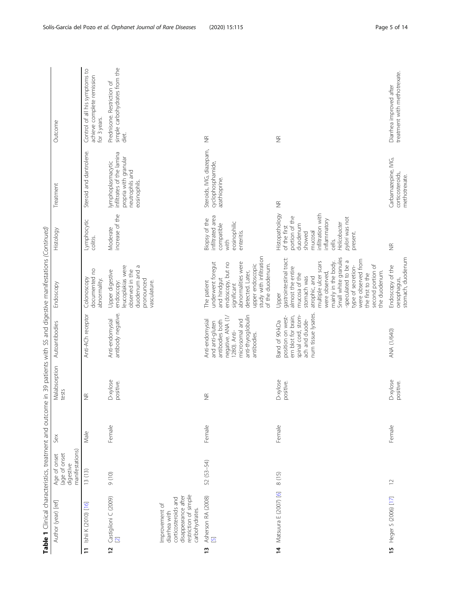| Table 1 Clinical characteristics, treatment and outcome                                                                  |                                                               |        |                        |                                                                                                                                                   | in 39 patients with SS and digestive manifestations (Continued)                                                                                                                                                                                                                                                              |                                                                                                                                                                              |                                                                                                            |                                                                              |
|--------------------------------------------------------------------------------------------------------------------------|---------------------------------------------------------------|--------|------------------------|---------------------------------------------------------------------------------------------------------------------------------------------------|------------------------------------------------------------------------------------------------------------------------------------------------------------------------------------------------------------------------------------------------------------------------------------------------------------------------------|------------------------------------------------------------------------------------------------------------------------------------------------------------------------------|------------------------------------------------------------------------------------------------------------|------------------------------------------------------------------------------|
| Author (year) [ref]                                                                                                      | manifestations)<br>(age of onset<br>Age of onset<br>digestive | Sex    | Malabsorption<br>tests | Autoantibodies                                                                                                                                    | Endoscopy                                                                                                                                                                                                                                                                                                                    | Histology                                                                                                                                                                    | Treatment                                                                                                  | Outcome                                                                      |
| Ishii K (2010) [16]<br>Ξ                                                                                                 | 13(13)                                                        | Male   | $\widetilde{\Xi}$      | Anti-ACh receptor                                                                                                                                 | documented no<br>Colonoscopy<br>abnormality.                                                                                                                                                                                                                                                                                 | Lymphocytic<br>colitis.                                                                                                                                                      | Steroid and dantrolene.                                                                                    | Control of all his symptoms to<br>achieve complete remission<br>for 3 years. |
| Castiglioni C (2009)<br>$\overline{\mathbf{C}}$<br>$\overline{5}$                                                        | $(01)$ 6                                                      | Female | D-xylose<br>positive.  | antibody negative.<br>Anti-endomysial                                                                                                             | leucoplakias were<br>duodenum and a<br>Upper digestive<br>observed in the<br>pronounced<br>endoscopy:<br>vasculature.                                                                                                                                                                                                        | increase of the<br>Moderate                                                                                                                                                  | infiltrates of the lamina<br>propria with granular<br>lymphoplasmacytic<br>neutrophils and<br>eosinophils. | simple carbohydrates from the<br>Prednisone. Restriction of<br>diet.         |
| restriction of simple<br>disappearance after<br>corticosteroids and<br>Improvement of<br>carbohydrates.<br>diarrhea with |                                                               |        |                        |                                                                                                                                                   |                                                                                                                                                                                                                                                                                                                              |                                                                                                                                                                              |                                                                                                            |                                                                              |
| Asherson RA (2008)<br>$\overline{5}$<br>$\overline{1}$                                                                   | 52 (53-54)                                                    | Female | $\frac{\alpha}{2}$     | anti-thyroglobulin<br>negative. ANA (1/<br>microsomal and<br>Anti-endomysial<br>antibodies both<br>and anti-gluten<br>1280). Anti-<br>antibodies. | study with infiltration<br>abnormalities were<br>underwent foregut<br>endoscopy, but no<br>upper endoscopic<br>of the duodenum.<br>detected. Later,<br>and hindgut<br>The patient<br>significant                                                                                                                             | infiltrated area<br>Biopsy of the<br>eosinophilic<br>compatible<br>enteritis.<br>with                                                                                        | Steroids, IVIG, diazepam,<br>cyclophosphamide,<br>azathioprine.                                            | $\frac{\alpha}{2}$                                                           |
| 14 Matsuura E (2007) [6]                                                                                                 | 8 (15)                                                        | Female | D-xylose<br>positive.  | num tissue lysates.<br>spinal cord, stom-<br>em blot for brain,<br>position on west-<br>ach and duode-<br>Band of 90-kDa                          | Small white granules<br>gastrointestinal tract:<br>were observed from<br>-speculated to be a<br>mainly in the body.<br>multiple ulcer scars<br>second portion of<br>type of secretion-<br>almost the entire<br>the duodenum.<br>were observed,<br>the first to the<br>mucosa of the<br>stomach was<br>atrophic, and<br>Upper | Histopathology<br>nfiltration with<br>portion of the<br>pylori was not<br>nflammatory<br>Helicobacter<br>duodenum<br>of the first<br>showed<br>mucosal<br>present.<br>cells. | $\widetilde{\Xi}$                                                                                          | $\frac{\alpha}{2}$                                                           |
| Heger S (2006) [17]<br>$\frac{15}{2}$                                                                                    | $\supseteq$                                                   | Female | D-xylose<br>positive.  | ANA (1/640)                                                                                                                                       | stomach, duodenum<br>Endoscopy of the<br>oesophagus,                                                                                                                                                                                                                                                                         | $\widetilde{\Xi}$                                                                                                                                                            | Carbamazepine, IVIG,<br>corticosteroids,<br>methotrexate.                                                  | treatment with methotrexate.<br>Diarrhea improved after                      |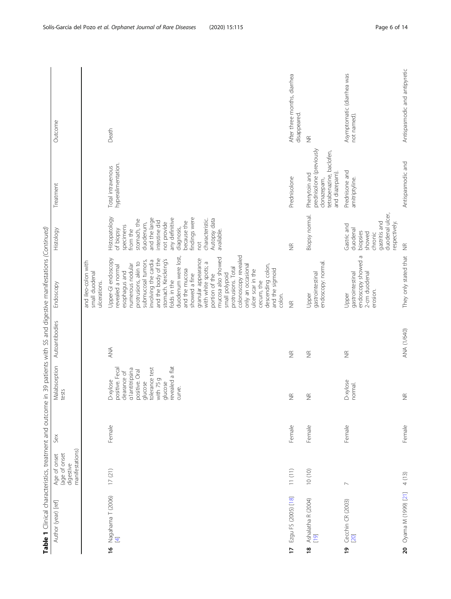| Table 1 Clinical characteristics, treatment and outcome in 39 patients with SS and digestive manifestations (Continued) |                                                               |        |                                                                                                                                                                    |                    |                                                                                                                                                                                                                                                                                                                                                                                                                                                                                                                                              |                                                                                                                                                                                                                                                           |                                                                                                       |                                              |
|-------------------------------------------------------------------------------------------------------------------------|---------------------------------------------------------------|--------|--------------------------------------------------------------------------------------------------------------------------------------------------------------------|--------------------|----------------------------------------------------------------------------------------------------------------------------------------------------------------------------------------------------------------------------------------------------------------------------------------------------------------------------------------------------------------------------------------------------------------------------------------------------------------------------------------------------------------------------------------------|-----------------------------------------------------------------------------------------------------------------------------------------------------------------------------------------------------------------------------------------------------------|-------------------------------------------------------------------------------------------------------|----------------------------------------------|
| Author (year) [ref]                                                                                                     | manifestations)<br>(age of onset<br>Age of onset<br>digestive | Sex    | Malabsorption<br>tests                                                                                                                                             | Autoantibodies     | Endoscopy                                                                                                                                                                                                                                                                                                                                                                                                                                                                                                                                    | Histology                                                                                                                                                                                                                                                 | Treatment                                                                                             | Outcome                                      |
|                                                                                                                         |                                                               |        |                                                                                                                                                                    |                    | and ileo-colon with<br>small duodenal<br>ulcerations.                                                                                                                                                                                                                                                                                                                                                                                                                                                                                        |                                                                                                                                                                                                                                                           |                                                                                                       |                                              |
| Nagahama T (2006)<br>$\overline{A}$<br>$\frac{1}{2}$                                                                    | 17(21)                                                        | Female | revealed a flat<br>tolerance test<br>positive. Fecal<br>a1 antitripsina<br>positive. Oral<br>clearance of<br>with 75 g<br>D-xylose<br>glucose<br>glucose<br>curve. | ANA                | colonoscopy revealed<br>duodenum were lost,<br>mucosa also showed<br>Upper-GI endoscopy<br>and the body of the<br>granular appearance<br>stomach. Kerckring's<br>submucosal tumors,<br>involving the cardia<br>protrusions, akin to<br>with white spots; a<br>numerous nodular<br>descending colon,<br>only an occasional<br>revealed a normal<br>protrusions. Total<br>and the sigmoid<br>and the mucosa<br>ulcer scar in the<br>esophagus and<br>small polypoid<br>showed a fine<br>portion of the<br>folds in the<br>cecum, the<br>colon. | Histopatology<br>and the large<br>findings were<br>any definitive<br>Autopsy data<br>characteristic.<br>stomach, the<br>intestine did<br>because the<br>not provide<br>duodenum,<br>specimens<br>diagnosis,<br>of biopsy<br>from the<br>available.<br>not | hyperalimentation.<br>Total intravenous                                                               | Death                                        |
| Ezgu FS (2005) [18]<br>Þ                                                                                                | 11(11)                                                        | Female | $\frac{\alpha}{2}$                                                                                                                                                 | $\widetilde{\Xi}$  | $\widetilde{\Xi}$                                                                                                                                                                                                                                                                                                                                                                                                                                                                                                                            | $\widetilde{\Xi}$                                                                                                                                                                                                                                         | Prednisolone                                                                                          | After three months, diarrhea<br>disappeared. |
| Ashalatha R (2004)<br>$\begin{bmatrix} 1 & 0 \\ 0 & 1 \end{bmatrix}$<br>$\frac{8}{2}$                                   | 10 (10)                                                       | Female | $\frac{\alpha}{2}$                                                                                                                                                 | $\widetilde{\Xi}$  | endoscopy: normal<br>gastrointestinal<br>Upper                                                                                                                                                                                                                                                                                                                                                                                                                                                                                               | Biopsy normal.                                                                                                                                                                                                                                            | prednisolone (previously<br>tetrabenazine, baclofen,<br>and diazepam)<br>Phenytoin and<br>clonazepam, | $\widetilde{\Xi}$                            |
| 19 Cecchin CR (2003)<br>[20]                                                                                            | $\sim$                                                        | Female | D-xylose<br>normal.                                                                                                                                                | $\frac{\alpha}{2}$ | endoscopy showed a<br>gastrointestinal<br>2-cm duodenal<br>erosion.<br>Upper                                                                                                                                                                                                                                                                                                                                                                                                                                                                 | duodenal ulcer,<br>qastritis and<br>respectively.<br>Gastric and<br>duodenal<br>biopsies<br>showed<br>chronic                                                                                                                                             | Prednisone and<br>amitriptyline.                                                                      | Asymptomatic (diarrhea was<br>not named).    |
| 20 Ovama M (1999) [21]                                                                                                  | 4 (13)                                                        | Female | $\frac{\alpha}{\beta}$                                                                                                                                             | ANA (1/640)        | They only stated that                                                                                                                                                                                                                                                                                                                                                                                                                                                                                                                        | $\frac{\alpha}{\alpha}$                                                                                                                                                                                                                                   | Antispasmodic and                                                                                     | Antispasmodic and antipyretic                |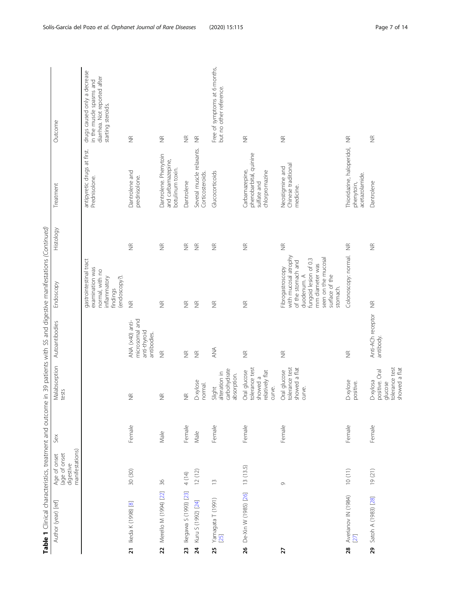| Author (year) [ref]                   | manifestations)<br>(age of onset<br>Age of onset<br>digestive | Sex    | Malabsorption<br>tests                                                   | Autoantibodies                                                   | Table 1 Clinical characteristics, treatment and outcome in 39 patients with SS and digestive manifestations (Continued)<br>Endoscopy                                           | Histology          | Treatment                                                                 | Outcome                                                                                                        |
|---------------------------------------|---------------------------------------------------------------|--------|--------------------------------------------------------------------------|------------------------------------------------------------------|--------------------------------------------------------------------------------------------------------------------------------------------------------------------------------|--------------------|---------------------------------------------------------------------------|----------------------------------------------------------------------------------------------------------------|
|                                       |                                                               |        |                                                                          |                                                                  | gastrointestinal tract<br>examination was<br>normal, with no<br>inflammatory<br>(endoscopy?).<br>findings                                                                      |                    | antipyretic drugs at first.<br>Prednisolone.                              | drugs caused only a decrease<br>diarrhea. Not reported after<br>in the muscle spasms and<br>starting steroids. |
| 21 Ikeda K (1998) [8]                 | 30 (30)                                                       | Female | $\frac{\alpha}{2}$                                                       | microsomal and<br>ANA (x40) anti-<br>anti-thyroid<br>antibodies. | $\widetilde{\Xi}$                                                                                                                                                              | $\widetilde{\Xi}$  | Dantrolene and<br>prednisolone.                                           | $\widetilde{\Xi}$                                                                                              |
| Merello M (1994) [22]<br>22           | 36                                                            | Male   | $\widetilde{\Xi}$                                                        | $\widetilde{\Xi}$                                                | $\widetilde{\Xi}$                                                                                                                                                              | $\widetilde{\Xi}$  | Dantrolene. Phenytoin<br>and carbamazepine,<br>botulinum toxin.           | $\widetilde{\Xi}$                                                                                              |
| Ikegawa S (1993) [23]<br>23           | 4(14)                                                         | Female | $\widetilde{\Xi}$                                                        | $\widetilde{\Xi}$                                                | $\widetilde{\Xi}$                                                                                                                                                              | $\widetilde{\Xi}$  | Dantrolene                                                                | $\widetilde{\Xi}$                                                                                              |
| Kuru S (1992) [24]<br>$\overline{24}$ | 12(12)                                                        | Male   | $D-xy\$ ose<br>normal                                                    | $\widetilde{\Xi}$                                                | $\widetilde{\Xi}$                                                                                                                                                              | $\widetilde{\Xi}$  | Several muscle relaxants.<br>Corticosteroids.                             | $\widetilde{\Xi}$                                                                                              |
| Yamagata T (1991)<br>[25]<br>25       | $\widetilde{\Box}$                                            | Female | carbohydrate<br>alteration in<br>absorption.<br>Slight                   | ANA                                                              | $\widetilde{\Xi}$                                                                                                                                                              | $\widetilde{\Xi}$  | Glucocorticoids                                                           | Free of symptoms at 6 months,<br>but no other reference.                                                       |
| 26 De-Xin W (1985) [26]               | 13 (13.5)                                                     | Female | tolerance test<br>Oral glucose<br>relatively flat<br>showed a<br>curve.  | $\frac{\alpha}{2}$                                               | $\widetilde{\Xi}$                                                                                                                                                              | $\widetilde{\Xi}$  | phenobarbital, quinine<br>Carbamazepine,<br>chlorpromazine<br>sulfate and | $\widetilde{\Xi}$                                                                                              |
| 27                                    | Ò                                                             | Female | tolerance test<br>showed a flat<br>Oral glucose<br>curve.                | $\frac{\alpha}{2}$                                               | with mucosal atrophy<br>seen on the mucosal<br>fungoid lesion of 0.3<br>of the stomach and<br>mm diameter was<br>Fibrogastroscopy<br>surface of the<br>duodenum. A<br>stomach. | $\widetilde{\Xi}$  | Chinese traditional<br>Neostigmine and<br>medicine.                       | $\widetilde{\Xi}$                                                                                              |
| Averianov IN (1984)<br>$[27]$<br>28   | 10(11)                                                        | Female | D-xylose<br>positive.                                                    | $\frac{\alpha}{2}$                                               | Colonoscopy: normal.                                                                                                                                                           | $\frac{\alpha}{2}$ | Thioridazine, haloperidol,<br>acetazolamide.<br>phenytoin,                | $\frac{\alpha}{2}$                                                                                             |
| Satoh A (1983) [28]<br>29             | 19(21)                                                        | Female | tolerance test<br>showed a flat<br>positive. Oral<br>D-xylosa<br>glucose | Anti-ACh receptor<br>antibody.                                   | $\frac{\alpha}{2}$                                                                                                                                                             | $\widetilde{\Xi}$  | Dantrolene                                                                | $\widetilde{\Xi}$                                                                                              |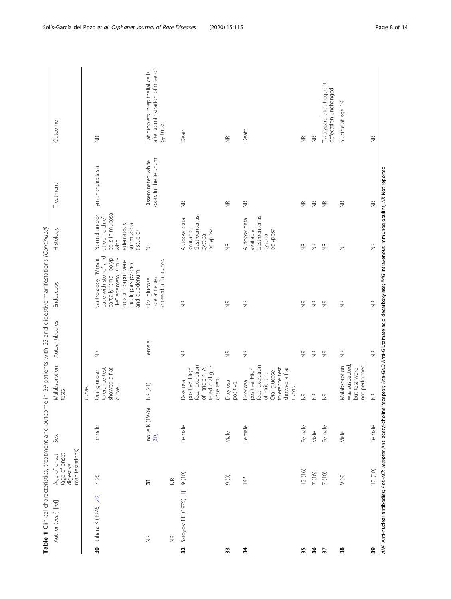| Author (year) [ref]      |                        | manifestations)<br>(age of onset<br>Age of onset<br>digestive | Sex                    | Malabsorption<br>tests                                                                                                       | Autoantibodies     | Endoscopy                                                                                                                                                        | Histology                                                                                         | Treatment                                   | Outcome                                                                           |
|--------------------------|------------------------|---------------------------------------------------------------|------------------------|------------------------------------------------------------------------------------------------------------------------------|--------------------|------------------------------------------------------------------------------------------------------------------------------------------------------------------|---------------------------------------------------------------------------------------------------|---------------------------------------------|-----------------------------------------------------------------------------------|
|                          |                        |                                                               |                        | curve.                                                                                                                       |                    |                                                                                                                                                                  |                                                                                                   |                                             |                                                                                   |
| 30 Itahara K (1976) [29] |                        | 7(8)                                                          | Female                 | showed a flat<br>tolerance test<br>Oral glucose<br>curve.                                                                    | $\widetilde{\Xi}$  | pave with stone" and<br>partially "small polyp-<br>Gastroscopy: "Mosaic<br>like" edematous mu-<br>cosa at corpus ven-<br>triculi, pars pylorica<br>and duodenum. | cells in mucosa<br>Normal and/or<br>atrophic chief<br>edematous<br>submucosa<br>tissue or<br>with | lymphangiectasia.                           | $\frac{\alpha}{2}$                                                                |
| $\frac{\alpha}{2}$       |                        | $\frac{1}{2}$                                                 | Inoue K (1976)<br>[30] | <b>NR (21)</b>                                                                                                               | Female             | showed a flat curve.<br>tolerance test<br>Oral glucose                                                                                                           | $\widetilde{\Xi}$                                                                                 | spots in the jejunum.<br>Disseminated white | after administration of olive oil<br>Fat droplets in epithelial cells<br>by tube. |
| $\widetilde{\Xi}$        |                        | $\widetilde{\Xi}$                                             |                        |                                                                                                                              |                    |                                                                                                                                                                  |                                                                                                   |                                             |                                                                                   |
| $\overline{32}$          | Satoyoshi E (1975) [1] | (01)6                                                         | Female                 | of I-triolein. AI-<br>fecal excretion<br>tered oral glu-<br>positive. High<br>cose test.<br>$D-xy$ losa                      | $\widetilde{\Xi}$  | $\frac{\alpha}{2}$                                                                                                                                               | Gastroenteritis<br>Autopsy data<br>polyposa<br>available.<br>cystica                              | $\widetilde{\Xi}$                           | Death                                                                             |
| 33                       |                        | (6)                                                           | Male                   | D-xylosa<br>positive.                                                                                                        | $\widetilde{\Xi}$  | $\widetilde{\Xi}$                                                                                                                                                | $\frac{\alpha}{2}$                                                                                | $\widetilde{\Xi}$                           | $\frac{\alpha}{2}$                                                                |
| 24                       |                        | $14$ $\overline{?}$                                           | Female                 | fecal excretion<br>positive. High<br>tolerance test<br>showed a flat<br>Oral glucose<br>of I-triolein.<br>D-xylosa<br>curve. | $\widetilde{\Xi}$  | $\widetilde{\Xi}$                                                                                                                                                | Gastroenteritis<br>Autopsy data<br>polyposa<br>available.<br>cystica                              | $\frac{\alpha}{2}$                          | Death                                                                             |
| 35                       |                        | 12(16)                                                        | Female                 | $\frac{\alpha}{2}$                                                                                                           | $\widetilde{\Xi}$  | $\widetilde{\Xi}$                                                                                                                                                | $\widetilde{\Xi}$                                                                                 | $\widetilde{\Xi}$                           | $\widetilde{\Xi}$                                                                 |
| 36                       |                        | 7 (16)                                                        | Male                   | $\widetilde{\Xi}$                                                                                                            | $\widetilde{\Xi}$  | $\widetilde{\Xi}$                                                                                                                                                | $\widetilde{\Xi}$                                                                                 | $\widetilde{\Xi}$                           | $\widetilde{\Xi}$                                                                 |
| $\overline{37}$          |                        | 7(10)                                                         | Female                 | $\frac{\alpha}{2}$                                                                                                           | $\frac{\alpha}{2}$ | $\widetilde{\Xi}$                                                                                                                                                | $\widetilde{\Xi}$                                                                                 | $\widetilde{\Xi}$                           | Two years later, frequent<br>defecation unchanged.                                |
| $\frac{8}{3}$            |                        | (6)                                                           | Male                   | not performed<br>was suspected<br>Malabsorption<br>but test were                                                             | $\frac{\alpha}{2}$ | $\widetilde{\Xi}$                                                                                                                                                | $\widetilde{\Xi}$                                                                                 | $\frac{\alpha}{2}$                          | Suicide at age 19.                                                                |
| 39                       |                        | 10 (30)                                                       | Female                 | $\widetilde{\Xi}$                                                                                                            | $\frac{\alpha}{2}$ | $\widetilde{\Xi}$                                                                                                                                                | $\frac{\alpha}{2}$                                                                                | $\frac{\alpha}{2}$                          | $\widetilde{\Xi}$                                                                 |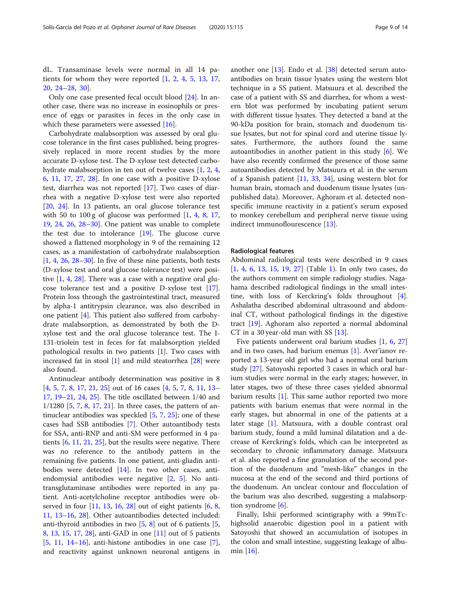dL. Transaminase levels were normal in all 14 patients for whom they were reported  $[1, 2, 4, 5, 13, 17,$  $[1, 2, 4, 5, 13, 17,$  $[1, 2, 4, 5, 13, 17,$  $[1, 2, 4, 5, 13, 17,$  $[1, 2, 4, 5, 13, 17,$  $[1, 2, 4, 5, 13, 17,$  $[1, 2, 4, 5, 13, 17,$  $[1, 2, 4, 5, 13, 17,$  $[1, 2, 4, 5, 13, 17,$  $[1, 2, 4, 5, 13, 17,$  $[1, 2, 4, 5, 13, 17,$  $[1, 2, 4, 5, 13, 17,$ [20,](#page-12-0) [24](#page-12-0)–[28,](#page-12-0) [30](#page-12-0)].

Only one case presented fecal occult blood [\[24](#page-12-0)]. In another case, there was no increase in eosinophils or presence of eggs or parasites in feces in the only case in which these parameters were assessed [\[16](#page-12-0)].

Carbohydrate malabsorption was assessed by oral glucose tolerance in the first cases published, being progressively replaced in more recent studies by the more accurate D-xylose test. The D-xylose test detected carbohydrate malabsorption in ten out of twelve cases [\[1](#page-12-0), [2](#page-12-0), [4](#page-12-0), [6,](#page-12-0) [11,](#page-12-0) [17,](#page-12-0) [27,](#page-12-0) [28](#page-12-0)]. In one case with a positive D-xylose test, diarrhea was not reported [\[17](#page-12-0)]. Two cases of diarrhea with a negative D-xylose test were also reported [[20,](#page-12-0) [24](#page-12-0)]. In 13 patients, an oral glucose tolerance test with 50 to 100 g of glucose was performed  $[1, 4, 8, 17,$  $[1, 4, 8, 17,$  $[1, 4, 8, 17,$  $[1, 4, 8, 17,$  $[1, 4, 8, 17,$  $[1, 4, 8, 17,$  $[1, 4, 8, 17,$  $[1, 4, 8, 17,$ [19,](#page-12-0) [24](#page-12-0), [26,](#page-12-0) [28](#page-12-0)–[30](#page-12-0)]. One patient was unable to complete the test due to intolerance  $[19]$  $[19]$  $[19]$ . The glucose curve showed a flattened morphology in 9 of the remaining 12 cases, as a manifestation of carbohydrate malabsorption  $[1, 4, 26, 28-30]$  $[1, 4, 26, 28-30]$  $[1, 4, 26, 28-30]$  $[1, 4, 26, 28-30]$  $[1, 4, 26, 28-30]$  $[1, 4, 26, 28-30]$  $[1, 4, 26, 28-30]$  $[1, 4, 26, 28-30]$  $[1, 4, 26, 28-30]$  $[1, 4, 26, 28-30]$  $[1, 4, 26, 28-30]$ . In five of these nine patients, both tests (D-xylose test and oral glucose tolerance test) were positive  $\left[1, 4, 28\right]$  $\left[1, 4, 28\right]$  $\left[1, 4, 28\right]$  $\left[1, 4, 28\right]$  $\left[1, 4, 28\right]$  $\left[1, 4, 28\right]$  $\left[1, 4, 28\right]$ . There was a case with a negative oral glucose tolerance test and a positive D-xylose test [\[17](#page-12-0)]. Protein loss through the gastrointestinal tract, measured by alpha-1 antitrypsin clearance, was also described in one patient [[4\]](#page-12-0). This patient also suffered from carbohydrate malabsorption, as demonstrated by both the Dxylose test and the oral glucose tolerance test. The I-131-triolein test in feces for fat malabsorption yielded pathological results in two patients  $[1]$  $[1]$ . Two cases with increased fat in stool  $\begin{bmatrix} 1 \end{bmatrix}$  and mild steatorrhea  $\begin{bmatrix} 28 \end{bmatrix}$  were also found.

Antinuclear antibody determination was positive in 8 [[4,](#page-12-0) [5](#page-12-0), [7,](#page-12-0) [8](#page-12-0), [17](#page-12-0), [21,](#page-12-0) [25](#page-12-0)] out of 16 cases [[4,](#page-12-0) [5](#page-12-0), [7](#page-12-0), [8,](#page-12-0) [11](#page-12-0), [13](#page-12-0)– [17,](#page-12-0) [19](#page-12-0)–[21,](#page-12-0) [24,](#page-12-0) [25](#page-12-0)]. The title oscillated between 1/40 and 1/1280 [\[5](#page-12-0), [7](#page-12-0), [8,](#page-12-0) [17,](#page-12-0) [21\]](#page-12-0). In three cases, the pattern of antinuclear antibodies was speckled  $[5, 7, 25]$  $[5, 7, 25]$  $[5, 7, 25]$  $[5, 7, 25]$  $[5, 7, 25]$  $[5, 7, 25]$  $[5, 7, 25]$ ; one of these cases had SSB antibodies [[7\]](#page-12-0). Other autoantibody tests for SSA, anti-RNP and anti-SM were performed in 4 patients [\[6](#page-12-0), [11](#page-12-0), [21](#page-12-0), [25\]](#page-12-0), but the results were negative. There was no reference to the antibody pattern in the remaining five patients. In one patient, anti-gliadin antibodies were detected [[14\]](#page-12-0). In two other cases, antiendomysial antibodies were negative [[2,](#page-12-0) [5\]](#page-12-0). No antitransglutaminase antibodies were reported in any patient. Anti-acetylcholine receptor antibodies were observed in four  $[11, 13, 16, 28]$  $[11, 13, 16, 28]$  $[11, 13, 16, 28]$  $[11, 13, 16, 28]$  $[11, 13, 16, 28]$  $[11, 13, 16, 28]$  $[11, 13, 16, 28]$  $[11, 13, 16, 28]$  $[11, 13, 16, 28]$  out of eight patients  $[6, 8, 8]$  $[6, 8, 8]$  $[6, 8, 8]$  $[6, 8, 8]$ [11,](#page-12-0) [13](#page-12-0)–[16](#page-12-0), [28](#page-12-0)]. Other autoantibodies detected included: anti-thyroid antibodies in two [[5,](#page-12-0) [8\]](#page-12-0) out of 6 patients [\[5](#page-12-0), [8,](#page-12-0) [13,](#page-12-0) [15,](#page-12-0) [17,](#page-12-0) [28](#page-12-0)], anti-GAD in one [\[11](#page-12-0)] out of 5 patients  $[5, 11, 14-16]$  $[5, 11, 14-16]$  $[5, 11, 14-16]$  $[5, 11, 14-16]$  $[5, 11, 14-16]$  $[5, 11, 14-16]$  $[5, 11, 14-16]$  $[5, 11, 14-16]$ , anti-histone antibodies in one case  $[7]$  $[7]$ , and reactivity against unknown neuronal antigens in another one [[13\]](#page-12-0). Endo et al. [\[38\]](#page-13-0) detected serum autoantibodies on brain tissue lysates using the western blot technique in a SS patient. Matsuura et al. described the case of a patient with SS and diarrhea, for whom a western blot was performed by incubating patient serum with different tissue lysates. They detected a band at the 90-kDa position for brain, stomach and duodenum tissue lysates, but not for spinal cord and uterine tissue lysates. Furthermore, the authors found the same autoantibodies in another patient in this study [[6\]](#page-12-0). We have also recently confirmed the presence of those same autoantibodies detected by Matsuura et al. in the serum of a Spanish patient [[11](#page-12-0), [33](#page-12-0), [34\]](#page-12-0), using western blot for human brain, stomach and duodenum tissue lysates (unpublished data). Moreover, Aghoram et al. detected nonspecific immune reactivity in a patient's serum exposed to monkey cerebellum and peripheral nerve tissue using indirect immunoflourescence [[13](#page-12-0)].

# Radiological features

Abdominal radiological tests were described in 9 cases [[1,](#page-12-0) [4,](#page-12-0) [6,](#page-12-0) [13](#page-12-0), [15](#page-12-0), [19,](#page-12-0) [27\]](#page-12-0) (Table [1\)](#page-3-0). In only two cases, do the authors comment on simple radiology studies. Nagahama described radiological findings in the small intestine, with loss of Kerckring's folds throughout [\[4](#page-12-0)]. Ashalatha described abdominal ultrasound and abdominal CT, without pathological findings in the digestive tract [\[19\]](#page-12-0). Aghoram also reported a normal abdominal CT in a 30 year-old man with SS [\[13\]](#page-12-0).

Five patients underwent oral barium studies [[1,](#page-12-0) [6,](#page-12-0) [27](#page-12-0)] and in two cases, had barium enemas [[1\]](#page-12-0). Aver'ianov reported a 13-year old girl who had a normal oral barium study [[27\]](#page-12-0). Satoyoshi reported 3 cases in which oral barium studies were normal in the early stages; however, in later stages, two of these three cases yielded abnormal barium results  $[1]$  $[1]$ . This same author reported two more patients with barium enemas that were normal in the early stages, but abnormal in one of the patients at a later stage [[1\]](#page-12-0). Matsuura, with a double contrast oral barium study, found a mild luminal dilatation and a decrease of Kerckring's folds, which can be interpreted as secondary to chronic inflammatory damage. Matsuura et al. also reported a fine granulation of the second portion of the duodenum and "mesh-like" changes in the mucosa at the end of the second and third portions of the duodenum. An unclear contour and flocculation of the barium was also described, suggesting a malabsorption syndrome [\[6](#page-12-0)].

Finally, Ishii performed scintigraphy with a 99mTchighsolid anaerobic digestion pool in a patient with Satoyoshi that showed an accumulation of isotopes in the colon and small intestine, suggesting leakage of albumin [[16\]](#page-12-0).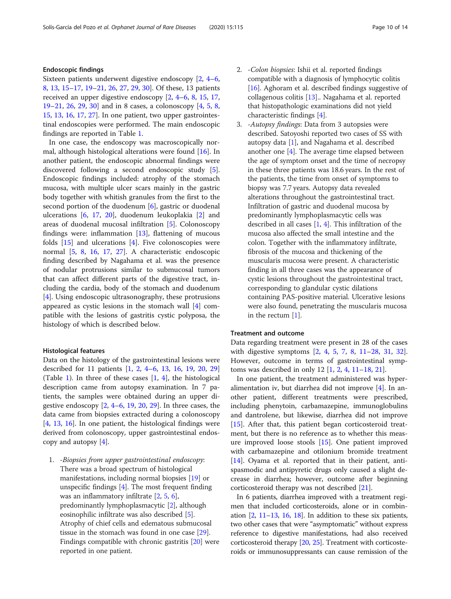# Endoscopic findings

Sixteen patients underwent digestive endoscopy [[2,](#page-12-0) [4](#page-12-0)–[6](#page-12-0), [8,](#page-12-0) [13,](#page-12-0) [15](#page-12-0)–[17](#page-12-0), [19](#page-12-0)–[21,](#page-12-0) [26,](#page-12-0) [27,](#page-12-0) [29,](#page-12-0) [30\]](#page-12-0). Of these, 13 patients received an upper digestive endoscopy [[2,](#page-12-0) [4](#page-12-0)–[6,](#page-12-0) [8,](#page-12-0) [15](#page-12-0), [17](#page-12-0), [19](#page-12-0)–[21](#page-12-0), [26](#page-12-0), [29,](#page-12-0) [30\]](#page-12-0) and in 8 cases, a colonoscopy [[4,](#page-12-0) [5](#page-12-0), [8](#page-12-0), [15,](#page-12-0) [13](#page-12-0), [16](#page-12-0), [17](#page-12-0), [27](#page-12-0)]. In one patient, two upper gastrointestinal endoscopies were performed. The main endoscopic findings are reported in Table [1](#page-3-0).

In one case, the endoscopy was macroscopically normal, although histological alterations were found [[16](#page-12-0)]. In another patient, the endoscopic abnormal findings were discovered following a second endoscopic study [\[5](#page-12-0)]. Endoscopic findings included: atrophy of the stomach mucosa, with multiple ulcer scars mainly in the gastric body together with whitish granules from the first to the second portion of the duodenum [\[6](#page-12-0)], gastric or duodenal ulcerations [[6,](#page-12-0) [17,](#page-12-0) [20](#page-12-0)], duodenum leukoplakia [\[2](#page-12-0)] and areas of duodenal mucosal infiltration [\[5](#page-12-0)]. Colonoscopy findings were: inflammation  $[13]$  $[13]$  $[13]$ , flattening of mucous folds  $[15]$  $[15]$  and ulcerations  $[4]$  $[4]$ . Five colonoscopies were normal [\[5](#page-12-0), [8,](#page-12-0) [16,](#page-12-0) [17,](#page-12-0) [27\]](#page-12-0). A characteristic endoscopic finding described by Nagahama et al. was the presence of nodular protrusions similar to submucosal tumors that can affect different parts of the digestive tract, including the cardia, body of the stomach and duodenum [[4\]](#page-12-0). Using endoscopic ultrasonography, these protrusions appeared as cystic lesions in the stomach wall [\[4](#page-12-0)] compatible with the lesions of gastritis cystic polyposa, the histology of which is described below.

# Histological features

Data on the histology of the gastrointestinal lesions were described for 11 patients [[1,](#page-12-0) [2,](#page-12-0) [4](#page-12-0)–[6,](#page-12-0) [13,](#page-12-0) [16](#page-12-0), [19](#page-12-0), [20](#page-12-0), [29](#page-12-0)] (Table [1\)](#page-3-0). In three of these cases  $[1, 4]$  $[1, 4]$  $[1, 4]$  $[1, 4]$  $[1, 4]$ , the histological description came from autopsy examination. In 7 patients, the samples were obtained during an upper digestive endoscopy  $[2, 4-6, 19, 20, 29]$  $[2, 4-6, 19, 20, 29]$  $[2, 4-6, 19, 20, 29]$  $[2, 4-6, 19, 20, 29]$  $[2, 4-6, 19, 20, 29]$  $[2, 4-6, 19, 20, 29]$  $[2, 4-6, 19, 20, 29]$  $[2, 4-6, 19, 20, 29]$  $[2, 4-6, 19, 20, 29]$  $[2, 4-6, 19, 20, 29]$  $[2, 4-6, 19, 20, 29]$  $[2, 4-6, 19, 20, 29]$  $[2, 4-6, 19, 20, 29]$ . In three cases, the data came from biopsies extracted during a colonoscopy [[4,](#page-12-0) [13](#page-12-0), [16\]](#page-12-0). In one patient, the histological findings were derived from colonoscopy, upper gastrointestinal endoscopy and autopsy [\[4](#page-12-0)].

1. -Biopsies from upper gastrointestinal endoscopy: There was a broad spectrum of histological manifestations, including normal biopsies [\[19\]](#page-12-0) or unspecific findings [\[4\]](#page-12-0). The most frequent finding was an inflammatory infiltrate [[2,](#page-12-0) [5](#page-12-0), [6](#page-12-0)], predominantly lymphoplasmacytic [\[2\]](#page-12-0), although eosinophilic infiltrate was also described [\[5](#page-12-0)]. Atrophy of chief cells and edematous submucosal tissue in the stomach was found in one case [\[29\]](#page-12-0). Findings compatible with chronic gastritis [[20\]](#page-12-0) were reported in one patient.

- 2. -Colon biopsies: Ishii et al. reported findings compatible with a diagnosis of lymphocytic colitis [[16](#page-12-0)]. Aghoram et al. described findings suggestive of collagenous colitis [[13](#page-12-0)].. Nagahama et al. reported that histopathologic examinations did not yield characteristic findings [[4\]](#page-12-0).
- 3. -Autopsy findings: Data from 3 autopsies were described. Satoyoshi reported two cases of SS with autopsy data  $[1]$ , and Nagahama et al. described another one [\[4\]](#page-12-0). The average time elapsed between the age of symptom onset and the time of necropsy in these three patients was 18.6 years. In the rest of the patients, the time from onset of symptoms to biopsy was 7.7 years. Autopsy data revealed alterations throughout the gastrointestinal tract. Infiltration of gastric and duodenal mucosa by predominantly lymphoplasmacytic cells was described in all cases [[1](#page-12-0), [4](#page-12-0)]. This infiltration of the mucosa also affected the small intestine and the colon. Together with the inflammatory infiltrate, fibrosis of the mucosa and thickening of the muscularis mucosa were present. A characteristic finding in all three cases was the appearance of cystic lesions throughout the gastrointestinal tract, corresponding to glandular cystic dilations containing PAS-positive material. Ulcerative lesions were also found, penetrating the muscularis mucosa in the rectum [[1\]](#page-12-0).

# Treatment and outcome

Data regarding treatment were present in 28 of the cases with digestive symptoms [[2](#page-12-0), [4](#page-12-0), [5,](#page-12-0) [7](#page-12-0), [8,](#page-12-0) [11](#page-12-0)–[28](#page-12-0), [31,](#page-12-0) [32](#page-12-0)]. However, outcome in terms of gastrointestinal symptoms was described in only  $12$  [[1,](#page-12-0) [2,](#page-12-0) [4,](#page-12-0) [11](#page-12-0)–[18](#page-12-0), [21](#page-12-0)].

In one patient, the treatment administered was hyperalimentation iv, but diarrhea did not improve [[4](#page-12-0)]. In another patient, different treatments were prescribed, including phenytoin, carbamazepine, immunoglobulins and dantrolene, but likewise, diarrhea did not improve [[15\]](#page-12-0). After that, this patient began corticosteroid treatment, but there is no reference as to whether this measure improved loose stools [\[15\]](#page-12-0). One patient improved with carbamazepine and otilonium bromide treatment [[14\]](#page-12-0). Oyama et al. reported that in their patient, antispasmodic and antipyretic drugs only caused a slight decrease in diarrhea; however, outcome after beginning corticosteroid therapy was not described [[21\]](#page-12-0).

In 6 patients, diarrhea improved with a treatment regimen that included corticosteroids, alone or in combination  $[2, 11-13, 16, 18]$  $[2, 11-13, 16, 18]$  $[2, 11-13, 16, 18]$  $[2, 11-13, 16, 18]$  $[2, 11-13, 16, 18]$  $[2, 11-13, 16, 18]$  $[2, 11-13, 16, 18]$  $[2, 11-13, 16, 18]$  $[2, 11-13, 16, 18]$  $[2, 11-13, 16, 18]$ . In addition to these six patients, two other cases that were "asymptomatic" without express reference to digestive manifestations, had also received corticosteroid therapy [\[20](#page-12-0), [25\]](#page-12-0). Treatment with corticosteroids or immunosuppressants can cause remission of the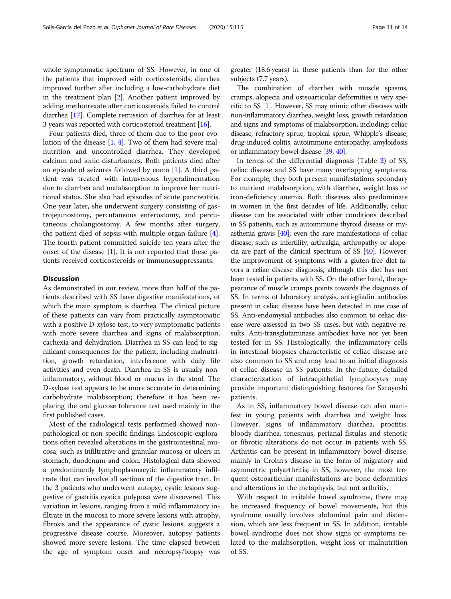whole symptomatic spectrum of SS. However, in one of the patients that improved with corticosteroids, diarrhea improved further after including a low-carbohydrate diet in the treatment plan [\[2](#page-12-0)]. Another patient improved by adding methotrexate after corticosteroids failed to control diarrhea [\[17\]](#page-12-0). Complete remission of diarrhea for at least 3 years was reported with corticosteroid treatment [\[16\]](#page-12-0).

Four patients died, three of them due to the poor evolution of the disease  $[1, 4]$  $[1, 4]$  $[1, 4]$  $[1, 4]$ . Two of them had severe malnutrition and uncontrolled diarrhea. They developed calcium and ionic disturbances. Both patients died after an episode of seizures followed by coma [\[1](#page-12-0)]. A third patient was treated with intravenous hyperalimentation due to diarrhea and malabsorption to improve her nutritional status. She also had episodes of acute pancreatitis. One year later, she underwent surgery consisting of gastrojejunostomy, percutaneous enterostomy, and percutaneous cholangiostomy. A few months after surgery, the patient died of sepsis with multiple organ failure  $[4]$  $[4]$ . The fourth patient committed suicide ten years after the onset of the disease [[1\]](#page-12-0). It is not reported that these patients received corticosteroids or immunosuppressants.

# **Discussion**

As demonstrated in our review, more than half of the patients described with SS have digestive manifestations, of which the main symptom is diarrhea. The clinical picture of these patients can vary from practically asymptomatic with a positive D-xylose test, to very symptomatic patients with more severe diarrhea and signs of malabsorption, cachexia and dehydration. Diarrhea in SS can lead to significant consequences for the patient, including malnutrition, growth retardation, interference with daily life activities and even death. Diarrhea in SS is usually noninflammatory, without blood or mucus in the stool. The D-xylose test appears to be more accurate in determining carbohydrate malabsorption; therefore it has been replacing the oral glucose tolerance test used mainly in the first published cases.

Most of the radiological tests performed showed nonpathological or non-specific findings. Endoscopic explorations often revealed alterations in the gastrointestinal mucosa, such as infiltrative and granular mucosa or ulcers in stomach, duodenum and colon. Histological data showed a predominantly lymphoplasmacytic inflammatory infiltrate that can involve all sections of the digestive tract. In the 3 patients who underwent autopsy, cystic lesions suggestive of gastritis cystica polyposa were discovered. This variation in lesions, ranging from a mild inflammatory infiltrate in the mucosa to more severe lesions with atrophy, fibrosis and the appearance of cystic lesions, suggests a progressive disease course. Moreover, autopsy patients showed more severe lesions. The time elapsed between the age of symptom onset and necropsy/biopsy was greater (18.6 years) in these patients than for the other subjects (7.7 years).

The combination of diarrhea with muscle spasms, cramps, alopecia and osteoarticular deformities is very specific to SS [\[1](#page-12-0)]. However, SS may mimic other diseases with non-inflammatory diarrhea, weight loss, growth retardation and signs and symptoms of malabsorption, including: celiac disease, refractory sprue, tropical sprue, Whipple's disease, drug-induced colitis, autoimmune enteropathy, amyloidosis or inflammatory bowel disease [[39](#page-13-0), [40](#page-13-0)].

In terms of the differential diagnosis (Table [2](#page-11-0)) of SS, celiac disease and SS have many overlapping symptoms. For example, they both present manifestations secondary to nutrient malabsorption, with diarrhea, weight loss or iron-deficiency anemia. Both diseases also predominate in women in the first decades of life. Additionally, celiac disease can be associated with other conditions described in SS patients, such as autoimmune thyroid disease or myasthenia gravis [[40](#page-13-0)]; even the rare manifestations of celiac disease, such as infertility, arthralgia, arthropathy or alopecia are part of the clinical spectrum of SS [\[40](#page-13-0)]. However, the improvement of symptoms with a gluten-free diet favors a celiac disease diagnosis, although this diet has not been tested in patients with SS. On the other hand, the appearance of muscle cramps points towards the diagnosis of SS. In terms of laboratory analysis, anti-gliadin antibodies present in celiac disease have been detected in one case of SS. Anti-endomysial antibodies also common to celiac disease were assessed in two SS cases, but with negative results. Anti-transglutaminase antibodies have not yet been tested for in SS. Histologically, the inflammatory cells in intestinal biopsies characteristic of celiac disease are also common to SS and may lead to an initial diagnosis of celiac disease in SS patients. In the future, detailed characterization of intraepithelial lymphocytes may provide important distinguishing features for Satoyoshi patients.

As in SS, inflammatory bowel disease can also manifest in young patients with diarrhea and weight loss. However, signs of inflammatory diarrhea, proctitis, bloody diarrhea, tenesmus, perianal fistulas and stenotic or fibrotic alterations do not occur in patients with SS. Arthritis can be present in inflammatory bowel disease, mainly in Crohn's disease in the form of migratory and asymmetric polyarthritis; in SS, however, the most frequent osteoarticular manifestations are bone deformities and alterations in the metaphysis, but not arthritis.

With respect to irritable bowel syndrome, there may be increased frequency of bowel movements, but this syndrome usually involves abdominal pain and distension, which are less frequent in SS. In addition, irritable bowel syndrome does not show signs or symptoms related to the malabsorption, weight loss or malnutrition of SS.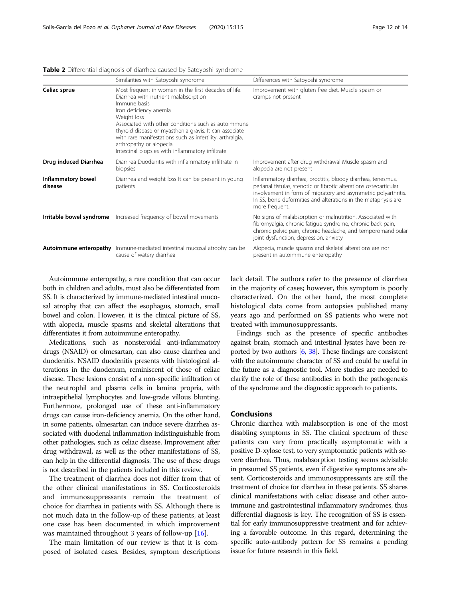|                               | Similarities with Satoyoshi syndrome                                                                                                                                                                                                                                                                                                                                                                                | Differences with Satoyoshi syndrome                                                                                                                                                                                                                                                     |
|-------------------------------|---------------------------------------------------------------------------------------------------------------------------------------------------------------------------------------------------------------------------------------------------------------------------------------------------------------------------------------------------------------------------------------------------------------------|-----------------------------------------------------------------------------------------------------------------------------------------------------------------------------------------------------------------------------------------------------------------------------------------|
| Celiac sprue                  | Most frequent in women in the first decades of life.<br>Diarrhea with nutrient malabsorption<br>Immune basis<br>Iron deficiency anemia<br>Weight loss<br>Associated with other conditions such as autoimmune<br>thyroid disease or myasthenia gravis. It can associate<br>with rare manifestations such as infertility, arthralgia,<br>arthropathy or alopecia.<br>Intestinal biopsies with inflammatory infiltrate | Improvement with gluten free diet. Muscle spasm or<br>cramps not present                                                                                                                                                                                                                |
| Drug induced Diarrhea         | Diarrhea Duodenitis with inflammatory infiltrate in<br>biopsies                                                                                                                                                                                                                                                                                                                                                     | Improvement after drug withdrawal Muscle spasm and<br>alopecia are not present                                                                                                                                                                                                          |
| Inflammatory bowel<br>disease | Diarrhea and weight loss It can be present in young<br>patients                                                                                                                                                                                                                                                                                                                                                     | Inflammatory diarrhea, proctitis, bloody diarrhea, tenesmus,<br>perianal fistulas, stenotic or fibrotic alterations osteoarticular<br>involvement in form of migratory and asymmetric polyarthritis.<br>In SS, bone deformities and alterations in the metaphysis are<br>more frequent. |
| Irritable bowel syndrome      | Increased frequency of bowel movements                                                                                                                                                                                                                                                                                                                                                                              | No signs of malabsorption or malnutrition. Associated with<br>fibromyalgia, chronic fatigue syndrome, chronic back pain,<br>chronic pelvic pain, chronic headache, and temporomandibular<br>joint dysfunction, depression, anxiety                                                      |
| Autoimmune enteropathy        | Immune-mediated intestinal mucosal atrophy can be<br>cause of watery diarrhea                                                                                                                                                                                                                                                                                                                                       | Alopecia, muscle spasms and skeletal alterations are nor<br>present in autoimmune enteropathy                                                                                                                                                                                           |

<span id="page-11-0"></span>Table 2 Differential diagnosis of diarrhea caused by Satoyoshi syndrome

Autoimmune enteropathy, a rare condition that can occur both in children and adults, must also be differentiated from SS. It is characterized by immune-mediated intestinal mucosal atrophy that can affect the esophagus, stomach, small bowel and colon. However, it is the clinical picture of SS, with alopecia, muscle spasms and skeletal alterations that differentiates it from autoimmune enteropathy.

Medications, such as nonsteroidal anti-inflammatory drugs (NSAID) or olmesartan, can also cause diarrhea and duodenitis. NSAID duodenitis presents with histological alterations in the duodenum, reminiscent of those of celiac disease. These lesions consist of a non-specific infiltration of the neutrophil and plasma cells in lamina propria, with intraepithelial lymphocytes and low-grade villous blunting. Furthermore, prolonged use of these anti-inflammatory drugs can cause iron-deficiency anemia. On the other hand, in some patients, olmesartan can induce severe diarrhea associated with duodenal inflammation indistinguishable from other pathologies, such as celiac disease. Improvement after drug withdrawal, as well as the other manifestations of SS, can help in the differential diagnosis. The use of these drugs is not described in the patients included in this review.

The treatment of diarrhea does not differ from that of the other clinical manifestations in SS. Corticosteroids and immunosuppressants remain the treatment of choice for diarrhea in patients with SS. Although there is not much data in the follow-up of these patients, at least one case has been documented in which improvement was maintained throughout 3 years of follow-up [\[16\]](#page-12-0).

The main limitation of our review is that it is composed of isolated cases. Besides, symptom descriptions lack detail. The authors refer to the presence of diarrhea in the majority of cases; however, this symptom is poorly characterized. On the other hand, the most complete histological data come from autopsies published many years ago and performed on SS patients who were not treated with immunosuppressants.

Findings such as the presence of specific antibodies against brain, stomach and intestinal lysates have been reported by two authors [\[6,](#page-12-0) [38\]](#page-13-0). These findings are consistent with the autoimmune character of SS and could be useful in the future as a diagnostic tool. More studies are needed to clarify the role of these antibodies in both the pathogenesis of the syndrome and the diagnostic approach to patients.

# Conclusions

Chronic diarrhea with malabsorption is one of the most disabling symptoms in SS. The clinical spectrum of these patients can vary from practically asymptomatic with a positive D-xylose test, to very symptomatic patients with severe diarrhea. Thus, malabsorption testing seems advisable in presumed SS patients, even if digestive symptoms are absent. Corticosteroids and immunosuppressants are still the treatment of choice for diarrhea in these patients. SS shares clinical manifestations with celiac disease and other autoimmune and gastrointestinal inflammatory syndromes, thus differential diagnosis is key. The recognition of SS is essential for early immunosuppressive treatment and for achieving a favorable outcome. In this regard, determining the specific auto-antibody pattern for SS remains a pending issue for future research in this field.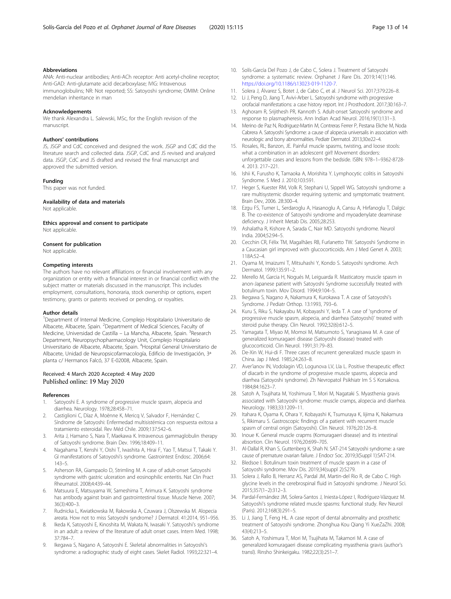# <span id="page-12-0"></span>Abbreviations

ANA: Anti-nuclear antibodies; Anti-ACh receptor: Anti acetyl-choline receptor; Anti-GAD: Anti-glutamate acid decarboxylase; IVIG: Intravenous immunoglobulins; NR: Not reported; SS: Satoyoshi syndrome; OMIM: Online mendelian inheritance in man

## Acknowledgements

We thank Alexandra L. Salewski, MSc, for the English revision of the manuscript.

# Authors' contributions

JS, JSGP and CdC conceived and designed the work. JSGP and CdC did the literature search and collected data. JSGP, CdC and JS revised and analyzed data. JSGP, CdC and JS drafted and revised the final manuscript and approved the submitted version.

#### Funding

This paper was not funded.

# Availability of data and materials

Not applicable.

Ethics approval and consent to participate Not applicable.

## Consent for publication

Not applicable.

# Competing interests

The authors have no relevant affiliations or financial involvement with any organization or entity with a financial interest in or financial conflict with the subject matter or materials discussed in the manuscript. This includes employment, consultations, honoraria, stock ownership or options, expert testimony, grants or patents received or pending, or royalties.

#### Author details

<sup>1</sup>Department of Internal Medicine, Complejo Hospitalario Universitario de Albacete, Albacete, Spain. <sup>2</sup>Department of Medical Sciences, Faculty of Medicine, Universidad de Castilla – La Mancha, Albacete, Spain. <sup>3</sup>Research Department, Neuropsychopharmacology Unit, Complejo Hospitalario Universitario de Albacete, Albacete, Spain. <sup>4</sup>Hospital General Universitario de Albacete, Unidad de Neuropsicofarmacología, Edificio de Investigación, 3ª planta c/ Hermanos Falcó, 37 E-02008, Albacete, Spain.

# Received: 4 March 2020 Accepted: 4 May 2020 Published online: 19 May 2020

#### References

- 1. Satoyoshi E. A syndrome of progressive muscle spasm, alopecia and diarrhea. Neurology. 1978;28:458–71.
- 2. Castiglioni C, Díaz A, Moënne K, Mericq V, Salvador F, Hernández C. Síndrome de Satoyoshi: Enfermedad multisistémica con respuesta exitosa a tratamiento esteroidal. Rev Méd Chile. 2009;137:542–6.
- 3. Arita J, Hamano S, Nara T, Maekawa K. Intravenous gammaglobulin therapy of Satoyoshi syndrome. Brain Dev. 1996;18:409–11.
- 4. Nagahama T, Kenshi Y, Oishi T, Iwashita A, Hirai F, Yao T, Matsui T, Takaki Y. GI manifestations of Satoyoshi's syndrome. Gastrointest Endosc. 2006;64: 143–5.
- Asherson RA, Giampaolo D, Strimling M. A case of adult-onset Satoyoshi syndrome with gastric ulceration and eosinophilic enteritis. Nat Clin Pract Rheumatol. 2008;4:439–44.
- 6. Matsuura E, Matsuyama W, Sameshima T, Arimura K. Satoyoshi syndrome has antibody against brain and gastrointestinal tissue. Muscle Nerve. 2007; 36(3):400–3.
- 7. Rudnicka L, Kwiatkowska M, Rakowska A, Czuwara J, Olszewska M. Alopecia areata. How not to miss Satoyoshi syndrome? J Dermatol. 41:2014, 951–956.
- Ikeda K, Satoyoshi E, Kinoshita M, Wakata N, Iwasaki Y. Satoyoshi's syndrome in an adult: a review of the literature of adult onset cases. Intern Med. 1998; 37:784–7.
- 9. Ikegawa S, Nagano A, Satoyoshi E. Skeletal abnormalities in Satoyoshi's syndrome: a radiographic study of eight cases. Skelet Radiol. 1993;22:321–4.
- 10. Solís-García Del Pozo J, de Cabo C, Solera J. Treatment of Satoyoshi syndrome: a systematic review. Orphanet J Rare Dis. 2019;14(1):146. [https://doi.org/10.1186/s13023-019-1120-7.](https://doi.org/10.1186/s13023-019-1120-7)
- 11. Solera J, Álvarez S, Botet J, de Cabo C, et al. J Neurol Sci. 2017;379:226–8.
- 12. Li J, Peng D, Jiang T, Avivi-Arber L. Satoyoshi syndrome with progressive orofacial manifestations: a case history report. Int J Prosthodont. 2017;30:163–7.
- 13. Aghoram R, Srijithesh PR, Kannoth S. Adult-onset Satoyoshi syndrome and response to plasmapheresis. Ann Indian Acad Neurol. 2016;19(1):131–3.
- 14. Merino de Paz N, Rodriguez-Martin M, Contreras Ferrer P, Pestana Eliche M, Noda Cabrera A. Satoyoshi Syndrome: a cause of alopecia universalis in association with neurologic and bony abnormalities. Pediatr Dermatol. 2013;30:e22–4.
- 15. Rosales, RL; Banzon, JE. Painful muscle spasms, twisting, and loose stools: what a combination in an adolescent girl! Movement disorders: unforgettable cases and lessons from the bedside. ISBN: 978–1–9362-8728- 4. 2013. 217–221.
- 16. Ishii K, Furusho K, Tamaoka A, Morishita Y. Lymphocytic colitis in Satoyoshi Syndrome. S Med J. 2010;103:591.
- 17. Heger S, Kuester RM, Volk R, Stephani U, Sippell WG. Satoyoshi syndrome: a rare multisystemic disorder requiring systemic and symptomatic treatment. Brain Dev, 2006. 28:300–4.
- 18. Ezgu FS, Tumer L, Serdaroglu A, Hasanoglu A, Cansu A, Hirfanoglu T, Dalgic B. The co-existence of Satoyoshi syndrome and myoadenylate deaminase deficiency. J Inherit Metab Dis. 2005;28:253.
- 19. Ashalatha R, Kishore A, Sarada C, Nair MD. Satoyoshi syndrome. Neurol India. 2004;52:94–5.
- 20. Cecchin CR, Félix TM, Magalhães RB, Furlanetto TW. Satoyoshi Syndrome in a Caucasian girl improved with glucocorticoids. Am J Med Genet A. 2003; 118A:52–4.
- 21. Oyama M, Imaizumi T, Mitsuhashi Y, Kondo S. Satoyoshi syndrome. Arch Dermatol. 1999;135:91–2.
- 22. Merello M, Garcia H, Nogués M, Leiguarda R. Masticatory muscle spasm in anon-Japanese patient with Satoyoshi Syndrome successfully treated with botulinum toxin. Mov Disord. 1994;9:104–5.
- 23. Ikegawa S, Nagano A, Nakamura K, Kurokawa T. A case of Satoyoshi's Syndrome. J Pediatr Orthop. 13:1993, 793–6.
- 24. Kuru S, Riku S, Nakayabu M, Kobayashi Y, Ieda T. A case of 'syndrome of progressive muscle spasm, alopecia, and diarrhea (Satoyoshi)' treated with steroid pulse therapy. Clin Neurol. 1992;32(6):612–5.
- 25. Yamagata T, Miyao M, Momoi M, Matsumoto S, Yanagisawa M. A case of generalized komuragaeri disease (Satoyoshi disease) treated with glucocorticoid. Clin Neurol. 1991;31:79–83.
- 26. De-Xin W, Hui-di F. Three cases of recurrent generalized muscle spasm in China. Jap J Med. 1985;24:263–8.
- 27. Aver'ianov IN, Vodolagin VD, Logunova LV, LIa L. Positive therapeutic effect of diacarb in the syndrome of progressive muscle spasms, alopecia and diarrhea (Satoyoshi syndrome). Zh Nevropatol Psikhiatr Im S S Korsakova. 1984;84:1623–7.
- 28. Satoh A, Tsujihata M, Yoshimura T, Mori M, Nagataki S. Myasthenia gravis associated with Satoyoshi syndrome: muscle cramps, alopecia and diarrhea. Neurology. 1983;33:1209–11.
- 29. Itahara K, Oyama K, Ohara Y, Kobayashi K, Tsumuraya K, Iijima K, Nakamura S, Rikimaru S. Gastroscopic findings of a patient with recurrent muscle spasm of central origin (Satoyoshi). Clin Neurol. 1976;20:126–8.
- 30. Inoue K. General muscle crapms (Komuragaeri disease) and its intestinal absortion. Clin Neurol. 1976;20:699–705.
- 31. Al-Dallal R, Khan S, Guttenberg K, Shah N. SAT-214 Satoyoshi syndrome: a rare cause of premature ovarian failure. J Endocr Soc. 2019;3(Suppl 1):SAT-214.
- 32. Bledsoe I. Botulinum toxin treatment of muscle spasm in a case of Satoyoshi syndrome. Mov Dis. 2019;34(suppl 2):S279.
- 33. Solera J, Rallo B, Herranz AS, Pardal JM, Martin-del Rio R, de Cabo C. High glycine levels in the cerebrospinal fluid in Satoyoshi syndrome. J Neurol Sci. 2015;357(1–2):312–3.
- 34. Pardal-Fernández JM, Solera-Santos J, Iniesta-López I, Rodríguez-Vázquez M. Satoyoshi's syndrome related muscle spasms: functional study. Rev Neurol (Paris). 2012;168(3):291–5.
- 35. Li J, Jiang T, Feng HL. A case report of dental abnormality and prosthetic treatment of Satoyoshi syndrome. Zhonghua Kou Qiang Yi XueZaZhi. 2008; 43(4):213–5.
- 36. Satoh A, Yoshimura T, Mori M, Tsujihata M, Takamori M. A case of generalized komuragaeri disease complicating myasthenia gravis (author's transl). Rinsho Shinkeigaku. 1982;22(3):251–7.